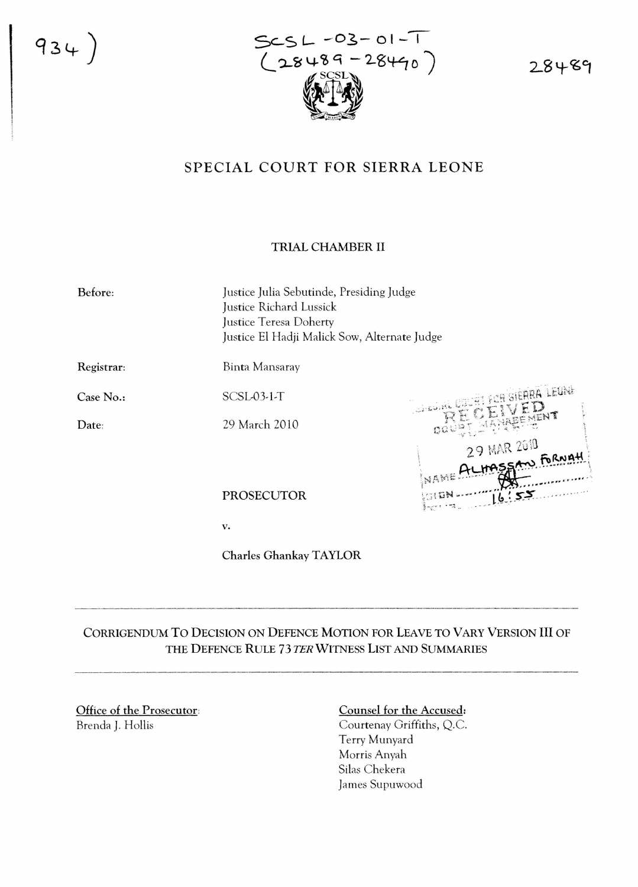$934)$ 



28489

## SPECIAL COURT FOR SIERRA LEONE

## TRIAL CHAMBER II

Justice Julia Sebutinde, Presiding Judge Justice Richard Lussick Justice Teresa Doherty Justice El Hadji Malick Sow, Alternate Judge

Registrar:

Case No.:

Date;

Before:

SCSL-03-1-T

29 March 2010

Binta Mansaray

Filite 29 MAR 2010 Ŀ

PROSECUTOR

v.

Charles GhankayTAYLOR

CORRIGENDUM TO DECISION ON DEFENCE MOTION FOR LEAVE TO VARY VERSION **III** OF THE DEFENCE RULE 73 TER WITNESS LIST AND SUMMARIES

Office of the Prosecutor: Brenda J. Hollis

## Counsel for the Accused:

Courtenay Griffiths, Q.C. Terry Munyard Morris Anyah Silas Chekera James Supuwood